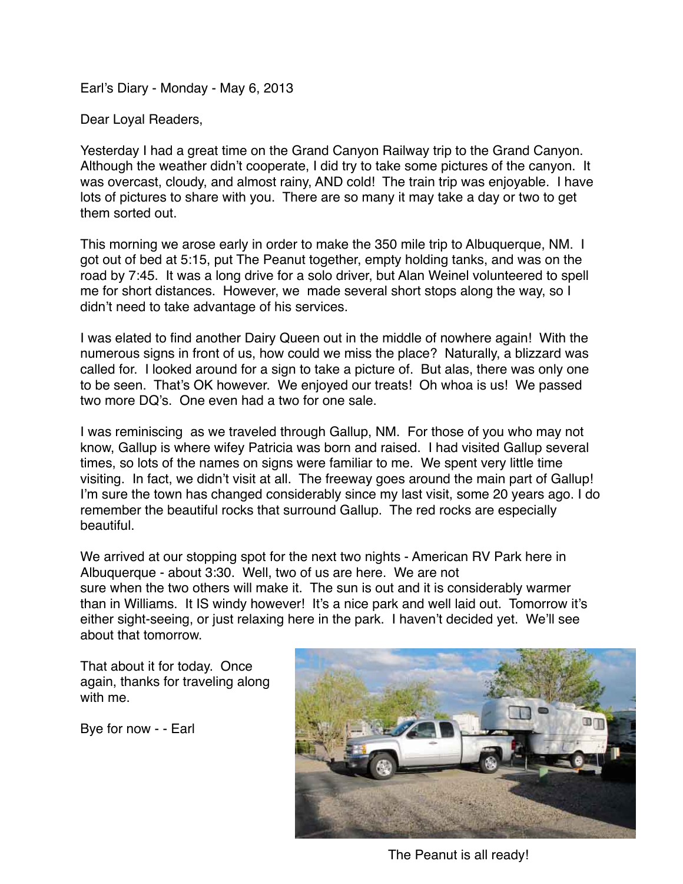Earl's Diary - Monday - May 6, 2013

Dear Loyal Readers,

Yesterday I had a great time on the Grand Canyon Railway trip to the Grand Canyon. Although the weather didn't cooperate, I did try to take some pictures of the canyon. It was overcast, cloudy, and almost rainy, AND cold! The train trip was enjoyable. I have lots of pictures to share with you. There are so many it may take a day or two to get them sorted out.

This morning we arose early in order to make the 350 mile trip to Albuquerque, NM. I got out of bed at 5:15, put The Peanut together, empty holding tanks, and was on the road by 7:45. It was a long drive for a solo driver, but Alan Weinel volunteered to spell me for short distances. However, we made several short stops along the way, so I didn't need to take advantage of his services.

I was elated to find another Dairy Queen out in the middle of nowhere again! With the numerous signs in front of us, how could we miss the place? Naturally, a blizzard was called for. I looked around for a sign to take a picture of. But alas, there was only one to be seen. That's OK however. We enjoyed our treats! Oh whoa is us! We passed two more DQ's. One even had a two for one sale.

I was reminiscing as we traveled through Gallup, NM. For those of you who may not know, Gallup is where wifey Patricia was born and raised. I had visited Gallup several times, so lots of the names on signs were familiar to me. We spent very little time visiting. In fact, we didn't visit at all. The freeway goes around the main part of Gallup! I'm sure the town has changed considerably since my last visit, some 20 years ago. I do remember the beautiful rocks that surround Gallup. The red rocks are especially beautiful.

We arrived at our stopping spot for the next two nights - American RV Park here in Albuquerque - about 3:30. Well, two of us are here. We are not sure when the two others will make it. The sun is out and it is considerably warmer than in Williams. It IS windy however! It's a nice park and well laid out. Tomorrow it's either sight-seeing, or just relaxing here in the park. I haven't decided yet. We'll see about that tomorrow.

That about it for today. Once again, thanks for traveling along with me.

Bye for now - - Earl



The Peanut is all ready!